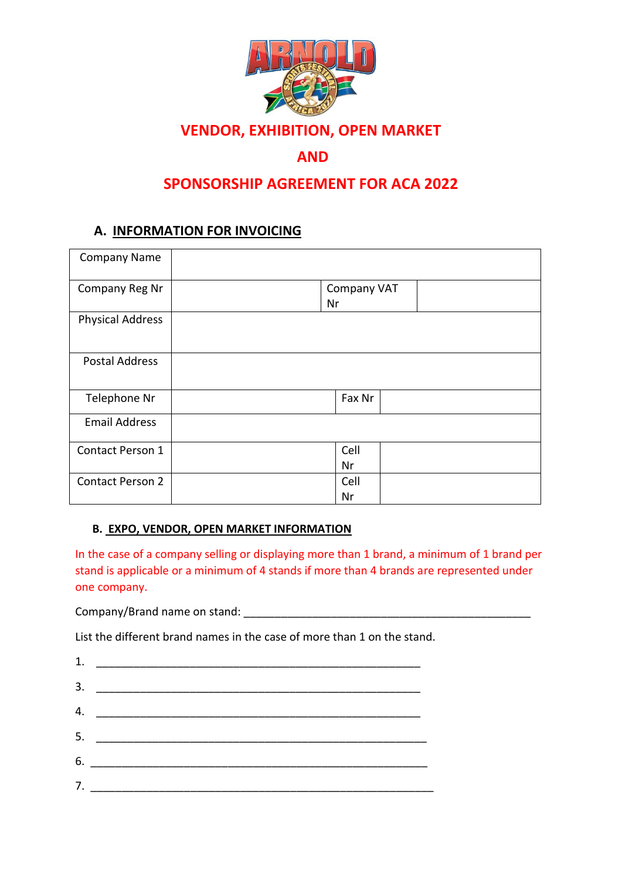

# **VENDOR, EXHIBITION, OPEN MARKET**

## **AND**

## **SPONSORSHIP AGREEMENT FOR ACA 2022**

## **A. INFORMATION FOR INVOICING**

| <b>Company Name</b>     |    |                    |  |
|-------------------------|----|--------------------|--|
| Company Reg Nr          | Nr | <b>Company VAT</b> |  |
| <b>Physical Address</b> |    |                    |  |
| <b>Postal Address</b>   |    |                    |  |
| Telephone Nr            |    | Fax Nr             |  |
| <b>Email Address</b>    |    |                    |  |
| Contact Person 1        |    | Cell               |  |
|                         |    | Nr                 |  |
| <b>Contact Person 2</b> |    | Cell               |  |
|                         |    | Nr                 |  |

#### **B. EXPO, VENDOR, OPEN MARKET INFORMATION**

In the case of a company selling or displaying more than 1 brand, a minimum of 1 brand per stand is applicable or a minimum of 4 stands if more than 4 brands are represented under one company.

Company/Brand name on stand:

List the different brand names in the case of more than 1 on the stand.

| 1. |                                         |  |  |  |
|----|-----------------------------------------|--|--|--|
| 3. |                                         |  |  |  |
|    | 4. $\overline{\phantom{a} \phantom{a}}$ |  |  |  |
|    |                                         |  |  |  |
|    |                                         |  |  |  |
|    | 7.                                      |  |  |  |
|    |                                         |  |  |  |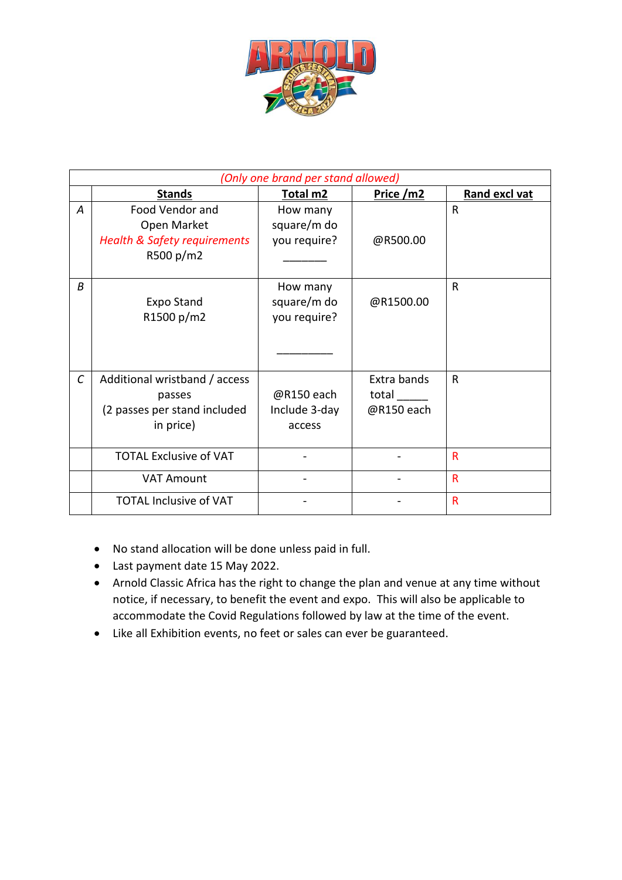

| (Only one brand per stand allowed) |                                         |               |             |                         |  |
|------------------------------------|-----------------------------------------|---------------|-------------|-------------------------|--|
|                                    | <b>Stands</b>                           | Total m2      | Price / m2  | <b>Rand excl vat</b>    |  |
| $\overline{A}$                     | Food Vendor and                         | How many      |             | R                       |  |
|                                    | Open Market                             | square/m do   |             |                         |  |
|                                    | <b>Health &amp; Safety requirements</b> | you require?  | @R500.00    |                         |  |
|                                    | R500 p/m2                               |               |             |                         |  |
|                                    |                                         |               |             |                         |  |
| B                                  |                                         | How many      |             | R                       |  |
|                                    | <b>Expo Stand</b>                       | square/m do   | @R1500.00   |                         |  |
|                                    | R1500 p/m2                              | you require?  |             |                         |  |
|                                    |                                         |               |             |                         |  |
|                                    |                                         |               |             |                         |  |
|                                    |                                         |               |             |                         |  |
| $\mathcal{C}$                      | Additional wristband / access           |               | Extra bands | R                       |  |
|                                    | passes                                  | @R150 each    | total       |                         |  |
|                                    | (2 passes per stand included            | Include 3-day | @R150 each  |                         |  |
|                                    | in price)                               | access        |             |                         |  |
|                                    |                                         |               |             |                         |  |
|                                    | <b>TOTAL Exclusive of VAT</b>           |               |             | R                       |  |
|                                    | <b>VAT Amount</b>                       |               |             | $\overline{\mathsf{R}}$ |  |
|                                    | <b>TOTAL Inclusive of VAT</b>           |               |             | R                       |  |

- No stand allocation will be done unless paid in full.
- Last payment date 15 May 2022.
- Arnold Classic Africa has the right to change the plan and venue at any time without notice, if necessary, to benefit the event and expo. This will also be applicable to accommodate the Covid Regulations followed by law at the time of the event.
- Like all Exhibition events, no feet or sales can ever be guaranteed.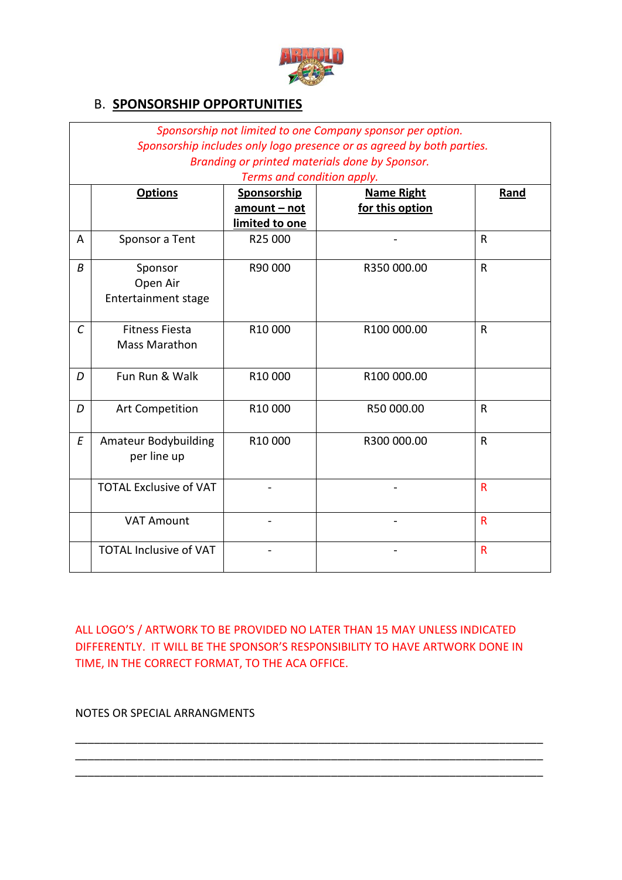

### B. **SPONSORSHIP OPPORTUNITIES**

|                   |                               |                            | Sponsorship not limited to one Company sponsor per option.            |                         |
|-------------------|-------------------------------|----------------------------|-----------------------------------------------------------------------|-------------------------|
|                   |                               |                            | Sponsorship includes only logo presence or as agreed by both parties. |                         |
|                   |                               |                            | Branding or printed materials done by Sponsor.                        |                         |
|                   |                               | Terms and condition apply. |                                                                       |                         |
|                   | <b>Options</b>                | Sponsorship                | <b>Name Right</b>                                                     | Rand                    |
|                   |                               | amount - not               | for this option                                                       |                         |
|                   |                               | limited to one             |                                                                       |                         |
| A                 | Sponsor a Tent                | R25 000                    |                                                                       | $\mathsf{R}$            |
| В                 | Sponsor                       | R90 000                    | R350 000.00                                                           | $\mathsf R$             |
|                   | Open Air                      |                            |                                                                       |                         |
|                   | <b>Entertainment stage</b>    |                            |                                                                       |                         |
|                   |                               |                            |                                                                       |                         |
| $\mathcal{C}_{0}$ | <b>Fitness Fiesta</b>         | R10 000                    | R100 000.00                                                           | $\mathsf{R}$            |
|                   | <b>Mass Marathon</b>          |                            |                                                                       |                         |
|                   |                               |                            |                                                                       |                         |
| D                 | Fun Run & Walk                | R10 000                    | R100 000.00                                                           |                         |
|                   |                               |                            |                                                                       |                         |
| D                 | Art Competition               | R10 000                    | R50 000.00                                                            | $\mathsf{R}$            |
|                   |                               |                            |                                                                       |                         |
| E                 | <b>Amateur Bodybuilding</b>   | R10 000                    | R300 000.00                                                           | $\mathsf{R}$            |
|                   | per line up                   |                            |                                                                       |                         |
|                   |                               |                            |                                                                       |                         |
|                   | <b>TOTAL Exclusive of VAT</b> |                            |                                                                       | $\overline{\mathsf{R}}$ |
|                   |                               |                            |                                                                       |                         |
|                   | <b>VAT Amount</b>             |                            |                                                                       | $\mathsf{R}$            |
|                   |                               |                            |                                                                       |                         |
|                   | <b>TOTAL Inclusive of VAT</b> |                            |                                                                       | $\mathsf{R}$            |
|                   |                               |                            |                                                                       |                         |

ALL LOGO'S / ARTWORK TO BE PROVIDED NO LATER THAN 15 MAY UNLESS INDICATED DIFFERENTLY. IT WILL BE THE SPONSOR'S RESPONSIBILITY TO HAVE ARTWORK DONE IN TIME, IN THE CORRECT FORMAT, TO THE ACA OFFICE.

\_\_\_\_\_\_\_\_\_\_\_\_\_\_\_\_\_\_\_\_\_\_\_\_\_\_\_\_\_\_\_\_\_\_\_\_\_\_\_\_\_\_\_\_\_\_\_\_\_\_\_\_\_\_\_\_\_\_\_\_\_\_\_\_\_\_\_\_\_\_\_\_\_\_\_ \_\_\_\_\_\_\_\_\_\_\_\_\_\_\_\_\_\_\_\_\_\_\_\_\_\_\_\_\_\_\_\_\_\_\_\_\_\_\_\_\_\_\_\_\_\_\_\_\_\_\_\_\_\_\_\_\_\_\_\_\_\_\_\_\_\_\_\_\_\_\_\_\_\_\_ \_\_\_\_\_\_\_\_\_\_\_\_\_\_\_\_\_\_\_\_\_\_\_\_\_\_\_\_\_\_\_\_\_\_\_\_\_\_\_\_\_\_\_\_\_\_\_\_\_\_\_\_\_\_\_\_\_\_\_\_\_\_\_\_\_\_\_\_\_\_\_\_\_\_\_

NOTES OR SPECIAL ARRANGMENTS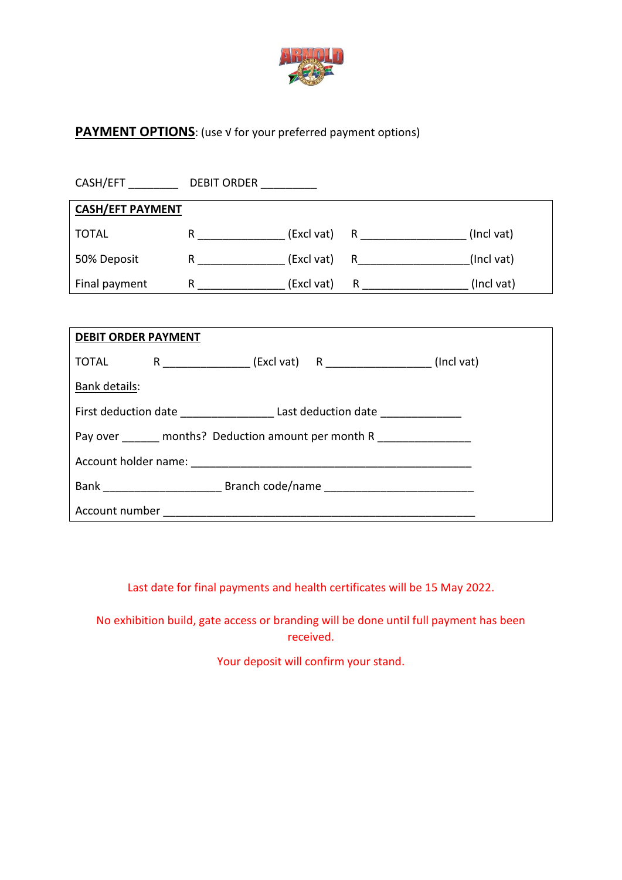

## **PAYMENT OPTIONS:** (use √ for your preferred payment options)

| CASH/EFT                | <b>DEBIT ORDER</b> |            |   |            |
|-------------------------|--------------------|------------|---|------------|
| <b>CASH/EFT PAYMENT</b> |                    |            |   |            |
| <b>TOTAL</b>            | R                  | (Excl vat) | R | (Incl vat) |
| 50% Deposit             | R                  | (Excl vat) | R | (Incl vat) |
| Final payment           | R                  | (Excl vat) | R | (Incl vat) |

| <b>DEBIT ORDER PAYMENT</b>                    |                                                                                  |  |  |  |  |  |
|-----------------------------------------------|----------------------------------------------------------------------------------|--|--|--|--|--|
|                                               | TOTAL R ______________ (Excl vat) R _________________ (Incl vat)                 |  |  |  |  |  |
| Bank details:                                 |                                                                                  |  |  |  |  |  |
|                                               | First deduction date _________________________Last deduction date ______________ |  |  |  |  |  |
| Pay over months? Deduction amount per month R |                                                                                  |  |  |  |  |  |
|                                               |                                                                                  |  |  |  |  |  |
|                                               |                                                                                  |  |  |  |  |  |
| Account number                                |                                                                                  |  |  |  |  |  |

Last date for final payments and health certificates will be 15 May 2022.

No exhibition build, gate access or branding will be done until full payment has been received.

Your deposit will confirm your stand.